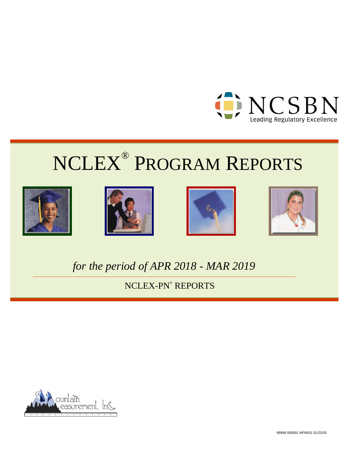









# *for the period of APR 2018 - MAR 2019*

NCLEX-PN® REPORTS



99999 000001 NPN001 01/23/20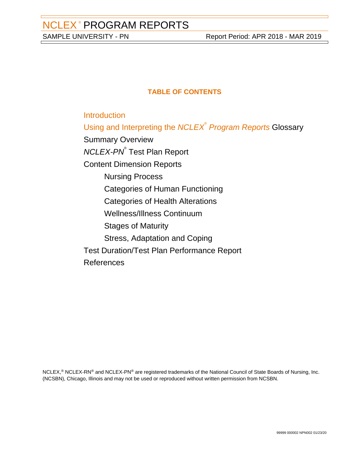## **TABLE OF CONTENTS**

**[Introduction](#page-2-0)** 

[Using and Interpreting the](#page-3-0) [NCLEX](#page-3-0)<sup>[®](#page-3-0)</sup> [Program Reports](#page-3-0) [Glossary](#page-3-0)

[Summary Overview](#page-5-0)

[NCLEX-PN](#page-11-0)<sup>[®](#page-11-0)</sup> [Test Plan Report](#page-11-0)

[Content Dimension Reports](#page-16-0)

[Nursing Process](#page-16-0)

[Categories of Human Functioning](#page-20-0)

[Categories of Health Alterations](#page-24-0)

[Wellness/Illness Continuum](#page-28-0)

[Stages of Maturity](#page-32-0)

[Stress, Adaptation and Coping](#page-36-0)

[Test Duration/Test Plan Performance Report](#page-40-0)

[References](#page-44-0)

NCLEX,<sup>®</sup> NCLEX-RN<sup>®</sup> and NCLEX-PN<sup>®</sup> are registered trademarks of the National Council of State Boards of Nursing, Inc. (NCSBN), Chicago, Illinois and may not be used or reproduced without written permission from NCSBN.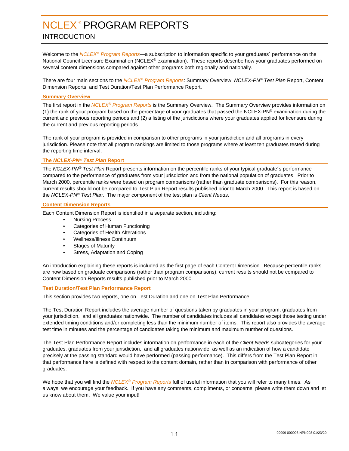## <span id="page-2-0"></span>INTRODUCTION

Welcome to the NCLEX<sup>®</sup> Program Reports—a subscription to information specific to your graduates<sup>2</sup> performance on the National Council Licensure Examination (NCLEX® examination). These reports describe how your graduates performed on several content dimensions compared against other programs both regionally and nationally.

There are four main sections to the NCLEX® Program Reports: Summary Overview, NCLEX-PN® Test Plan Report, Content Dimension Reports, and Test Duration/Test Plan Performance Report.

#### **Summary Overview**

The first report in the NCLEX<sup>®</sup> Program Reports is the Summary Overview. The Summary Overview provides information on (1) the rank of your program based on the percentage of your graduates that passed the NCLEX-PN® examination during the current and previous reporting periods and (2) a listing of the jurisdictions where your graduates applied for licensure during the current and previous reporting periods.

The rank of your program is provided in comparison to other programs in your jurisdiction and all programs in every jurisdiction. Please note that all program rankings are limited to those programs where at least ten graduates tested during the reporting time interval.

#### **The NCLEX-PN® Test Plan Report**

The NCLEX-PN® Test Plan Report presents information on the percentile ranks of your typical graduate's performance compared to the performance of graduates from your jurisdiction and from the national population of graduates. Prior to March 2000, percentile ranks were based on program comparisons (rather than graduate comparisons). For this reason, current results should not be compared to Test Plan Report results published prior to March 2000. This report is based on the NCLEX-PN® Test Plan. The major component of the test plan is Client Needs.

#### **Content Dimension Reports**

Each Content Dimension Report is identified in a separate section, including:

- Nursing Process
- Categories of Human Functioning
- Categories of Health Alterations
- Wellness/Illness Continuum
- **Stages of Maturity**
- Stress, Adaptation and Coping

An introduction explaining these reports is included as the first page of each Content Dimension. Because percentile ranks are now based on graduate comparisons (rather than program comparisons), current results should not be compared to Content Dimension Reports results published prior to March 2000.

#### **Test Duration/Test Plan Performance Report**

This section provides two reports, one on Test Duration and one on Test Plan Performance.

The Test Duration Report includes the average number of questions taken by graduates in your program, graduates from your jurisdiction, and all graduates nationwide. The number of candidates includes all candidates except those testing under extended timing conditions and/or completing less than the minimum number of items. This report also provides the average test time in minutes and the percentage of candidates taking the minimum and maximum number of questions.

The Test Plan Performance Report includes information on performance in each of the Client Needs subcategories for your graduates, graduates from your jurisdiction, and all graduates nationwide, as well as an indication of how a candidate precisely at the passing standard would have performed (passing performance). This differs from the Test Plan Report in that performance here is defined with respect to the content domain, rather than in comparison with performance of other graduates.

We hope that you will find the  $NCLE^{\otimes}$  Program Reports full of useful information that you will refer to many times. As always, we encourage your feedback. If you have any comments, compliments, or concerns, please write them down and let us know about them. We value your input!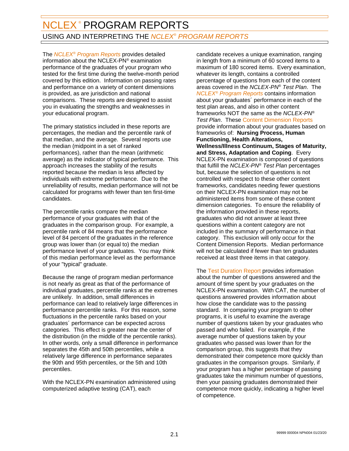<span id="page-3-0"></span>The *NCLEX<sup>®</sup> Program Reports* provides detailed information about the NCLEX-PN® examination performance of the graduates of your program who tested for the first time during the twelve-month period covered by this edition. Information on passing rates and performance on a variety of content dimensions is provided, as are jurisdiction and national comparisons. These reports are designed to assist you in evaluating the strengths and weaknesses in your educational program.

The primary statistics included in these reports are percentages, the median and the percentile rank of that median, and the average. Several reports use the median (midpoint in a set of ranked performances), rather than the mean (arithmetic average) as the indicator of typical performance. This approach increases the stability of the results reported because the median is less affected by individuals with extreme performance. Due to the unreliability of results, median performance will not be calculated for programs with fewer than ten first-time candidates.

The percentile ranks compare the median performance of your graduates with that of the graduates in the comparison group. For example, a percentile rank of 84 means that the performance level of 84 percent of the graduates in the reference group was lower than (or equal to) the median performance level of your graduates. You may think of this median performance level as the performance of your "typical" graduate.

Because the range of program median performance is not nearly as great as that of the performance of individual graduates, percentile ranks at the extremes are unlikely. In addition, small differences in performance can lead to relatively large differences in performance percentile ranks. For this reason, some fluctuations in the percentile ranks based on your graduates´ performance can be expected across categories. This effect is greater near the center of the distribution (in the middle of the percentile ranks). In other words, only a small difference in performance separates the 45th and 50th percentiles, while a relatively large difference in performance separates the 90th and 95th percentiles, or the 5th and 10th percentiles.

With the NCLEX-PN examination administered using computerized adaptive testing (CAT), each

candidate receives a unique examination, ranging in length from a minimum of 60 scored items to a maximum of 180 scored items. Every examination, whatever its length, contains a controlled percentage of questions from each of the content areas covered in the NCLEX-PN® Test Plan. The **NCLEX<sup>®</sup>** Program Reports contains information about your graduates´ performance in each of the test plan areas, and also in other content frameworks NOT the same as the NCLEX-PN® **Test Plan.** These Content Dimension Reports provide information about your graduates based on frameworks of: **Nursing Process, Human Functioning, Health Alterations, Wellness/Illness Continuum, Stages of Maturity, and Stress, Adaptation and Coping**. Every NCLEX-PN examination is composed of questions that fulfill the NCLEX-PN® Test Plan percentages but, because the selection of questions is not controlled with respect to these other content frameworks, candidates needing fewer questions on their NCLEX-PN examination may not be administered items from some of these content dimension categories. To ensure the reliability of the information provided in these reports, graduates who did not answer at least three questions within a content category are not included in the summary of performance in that category. This exclusion will only occur for the Content Dimension Reports. Median performance will not be calculated if fewer than ten graduates received at least three items in that category.

The Test Duration Report provides information about the number of questions answered and the amount of time spent by your graduates on the NCLEX-PN examination. With CAT, the number of questions answered provides information about how close the candidate was to the passing standard. In comparing your program to other programs, it is useful to examine the average number of questions taken by your graduates who passed and who failed. For example, if the average number of questions taken by your graduates who passed was lower than for the comparison group, this suggests that they demonstrated their competence more quickly than graduates in the comparison groups. Similarly, if your program has a higher percentage of passing graduates take the minimum number of questions, then your passing graduates demonstrated their competence more quickly, indicating a higher level of competence.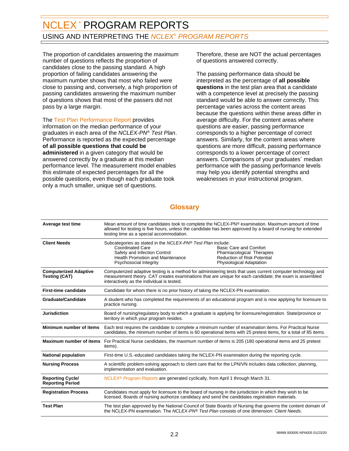## NCLEX® PROGRAM REPORTS USING AND INTERPRETING THE *NCLEX® PROGRAM REPORTS*

The proportion of candidates answering the maximum number of questions reflects the proportion of candidates close to the passing standard. A high proportion of failing candidates answering the maximum number shows that most who failed were close to passing and, conversely, a high proportion of passing candidates answering the maximum number of questions shows that most of the passers did not pass by a large margin.

The Test Plan Performance Report provides information on the median performance of your graduates in each area of the NCLEX-PN® Test Plan. Performance is reported as the expected percentage **of all possible questions that could be administered** in a given category that would be answered correctly by a graduate at this median performance level. The measurement model enables this estimate of expected percentages for all the possible questions, even though each graduate took only a much smaller, unique set of questions.

Therefore, these are NOT the actual percentages of questions answered correctly.

The passing performance data should be interpreted as the percentage of **all possible questions** in the test plan area that a candidate with a competence level at precisely the passing standard would be able to answer correctly. This percentage varies across the content areas because the questions within these areas differ in average difficulty. For the content areas where questions are easier, passing performance corresponds to a higher percentage of correct answers. Similarly, for the content areas where questions are more difficult, passing performance corresponds to a lower percentage of correct answers. Comparisons of your graduates´ median performance with the passing performance levels may help you identify potential strengths and weaknesses in your instructional program.

## **Glossary**

| Average test time                                    | testing time as a special accommodation.                                                                                                                                                                                                                            | Mean amount of time candidates took to complete the NCLEX-PN® examination. Maximum amount of time<br>allowed for testing is five hours, unless the candidate has been approved by a board of nursing for extended |  |
|------------------------------------------------------|---------------------------------------------------------------------------------------------------------------------------------------------------------------------------------------------------------------------------------------------------------------------|-------------------------------------------------------------------------------------------------------------------------------------------------------------------------------------------------------------------|--|
| <b>Client Needs</b>                                  | Subcategories as stated in the NCLEX-PN® Test Plan include:<br><b>Coordinated Care</b><br>Safety and Infection Control<br><b>Health Promotion and Maintenance</b><br>Psychosocial Integrity                                                                         | <b>Basic Care and Comfort</b><br>Pharmacological Therapies<br><b>Reduction of Risk Potential</b><br><b>Physiological Adaptation</b>                                                                               |  |
| <b>Computerized Adaptive</b><br><b>Testing (CAT)</b> | Computerized adaptive testing is a method for administering tests that uses current computer technology and<br>measurement theory. CAT creates examinations that are unique for each candidate; the exam is assembled<br>interactively as the individual is tested. |                                                                                                                                                                                                                   |  |
| <b>First-time candidate</b>                          | Candidate for whom there is no prior history of taking the NCLEX-PN examination.                                                                                                                                                                                    |                                                                                                                                                                                                                   |  |
| <b>Graduate/Candidate</b>                            | A student who has completed the requirements of an educational program and is now applying for licensure to<br>practice nursing.                                                                                                                                    |                                                                                                                                                                                                                   |  |
| <b>Jurisdiction</b>                                  | Board of nursing/regulatory body to which a graduate is applying for licensure/registration. State/province or<br>territory in which your program resides.                                                                                                          |                                                                                                                                                                                                                   |  |
| Minimum number of items                              | Each test requires the candidate to complete a minimum number of examination items. For Practical Nurse<br>candidates, the minimum number of items is 60 operational items with 25 pretest items, for a total of 85 items.                                          |                                                                                                                                                                                                                   |  |
| <b>Maximum number of items</b>                       | For Practical Nurse candidates, the maximum number of items is 205 (180 operational items and 25 pretest<br>items).                                                                                                                                                 |                                                                                                                                                                                                                   |  |
| <b>National population</b>                           | First-time U.S.-educated candidates taking the NCLEX-PN examination during the reporting cycle.                                                                                                                                                                     |                                                                                                                                                                                                                   |  |
| <b>Nursing Process</b>                               | A scientific problem-solving approach to client care that for the LPN/VN includes data collection, planning,<br>implementation and evaluation.                                                                                                                      |                                                                                                                                                                                                                   |  |
| <b>Reporting Cycle/</b><br><b>Reporting Period</b>   | NCLEX <sup>®</sup> Program Reports are generated cyclically, from April 1 through March 31.                                                                                                                                                                         |                                                                                                                                                                                                                   |  |
| <b>Registration Process</b>                          | Candidates must apply for licensure to the board of nursing in the jurisdiction in which they wish to be<br>licensed. Boards of nursing authorize candidacy and send the candidates registration materials.                                                         |                                                                                                                                                                                                                   |  |
| <b>Test Plan</b>                                     | The test plan approved by the National Council of State Boards of Nursing that governs the content domain of<br>the NCLEX-PN examination. The NCLEX-PN® Test Plan consists of one dimension: Client Needs.                                                          |                                                                                                                                                                                                                   |  |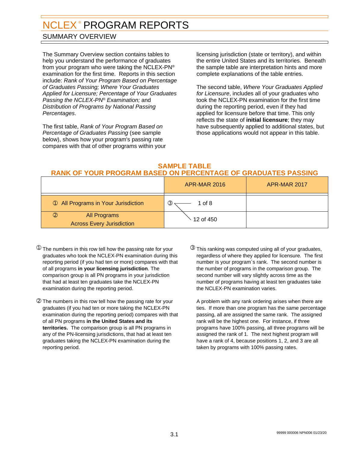## <span id="page-5-0"></span>SUMMARY OVERVIEW

The Summary Overview section contains tables to help you understand the performance of graduates from your program who were taking the NCLEX-PN® examination for the first time. Reports in this section include: Rank of Your Program Based on Percentage of Graduates Passing; Where Your Graduates Applied for Licensure; Percentage of Your Graduates Passing the NCLEX-PN® Examination; and Distribution of Programs by National Passing Percentages.

The first table, Rank of Your Program Based on Percentage of Graduates Passing (see sample below), shows how your program's passing rate compares with that of other programs within your licensing jurisdiction (state or territory), and within the entire United States and its territories. Beneath the sample table are interpretation hints and more complete explanations of the table entries.

The second table, Where Your Graduates Applied for Licensure, includes all of your graduates who took the NCLEX-PN examination for the first time during the reporting period, even if they had applied for licensure before that time. This only reflects the state of **initial licensure**; they may have subsequently applied to additional states, but those applications would not appear in this table.

#### **SAMPLE TABLE RANK OF YOUR PROGRAM BASED ON PERCENTAGE OF GRADUATES PASSING**

|                                                                   | <b>APR-MAR 2016</b>     | APR-MAR 2017 |
|-------------------------------------------------------------------|-------------------------|--------------|
| <b>1 All Programs in Your Jurisdiction</b>                        | 1 of 8<br>$\circled{3}$ |              |
| $\circled{2}$<br>All Programs<br><b>Across Every Jurisdiction</b> | 12 of 450               |              |

- $^{\textcircled{\tiny{\textup{1}}}}$  The numbers in this row tell how the passing rate for your  $^{\textcircled{\tiny{\textup{3}}}}$ graduates who took the NCLEX-PN examination during this reporting period (if you had ten or more) compares with that of all programs **in your licensing jurisdiction**. The comparison group is all PN programs in your jurisdiction that had at least ten graduates take the NCLEX-PN examination during the reporting period.
- ➁ The numbers in this row tell how the passing rate for your graduates (if you had ten or more taking the NCLEX-PN examination during the reporting period) compares with that of all PN programs **in the United States and its territories.** The comparison group is all PN programs in any of the PN-licensing jurisdictions, that had at least ten graduates taking the NCLEX-PN examination during the reporting period.
- $\circledR$  This ranking was computed using all of your graduates, regardless of where they applied for licensure. The first number is your program´s rank. The second number is the number of programs in the comparison group. The second number will vary slightly across time as the number of programs having at least ten graduates take the NCLEX-PN examination varies.

A problem with any rank ordering arises when there are ties. If more than one program has the same percentage passing, all are assigned the same rank. The assigned rank will be the highest one. For instance, if three programs have 100% passing, all three programs will be assigned the rank of 1. The next highest program will have a rank of 4, because positions 1, 2, and 3 are all taken by programs with 100% passing rates.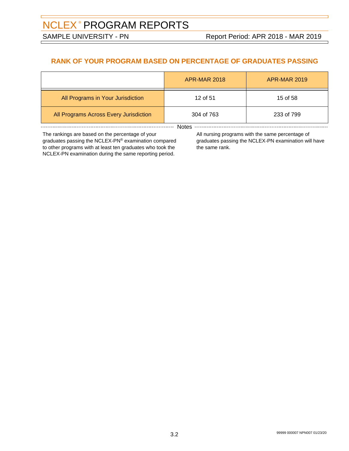## **RANK OF YOUR PROGRAM BASED ON PERCENTAGE OF GRADUATES PASSING**

|                                        | <b>APR-MAR 2018</b> | <b>APR-MAR 2019</b> |  |
|----------------------------------------|---------------------|---------------------|--|
| All Programs in Your Jurisdiction      | 12 of 51            | 15 of 58            |  |
| All Programs Across Every Jurisdiction | 304 of 763          | 233 of 799          |  |
| Notes                                  |                     |                     |  |

The rankings are based on the percentage of your graduates passing the NCLEX-PN® examination compared to other programs with at least ten graduates who took the

NCLEX-PN examination during the same reporting period.

All nursing programs with the same percentage of graduates passing the NCLEX-PN examination will have the same rank.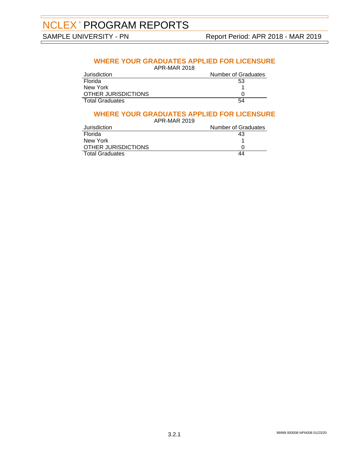## **WHERE YOUR GRADUATES APPLIED FOR LICENSURE**

APR-MAR 2018

| Jurisdiction           | <b>Number of Graduates</b> |
|------------------------|----------------------------|
| Florida                | 53                         |
| New York               |                            |
| OTHER JURISDICTIONS    |                            |
| <b>Total Graduates</b> | 54                         |

## **WHERE YOUR GRADUATES APPLIED FOR LICENSURE**

| APR-MAR 2019           |                     |
|------------------------|---------------------|
| Jurisdiction           | Number of Graduates |
| Florida                | 43                  |
| New York               |                     |
| OTHER JURISDICTIONS    |                     |
| <b>Total Graduates</b> |                     |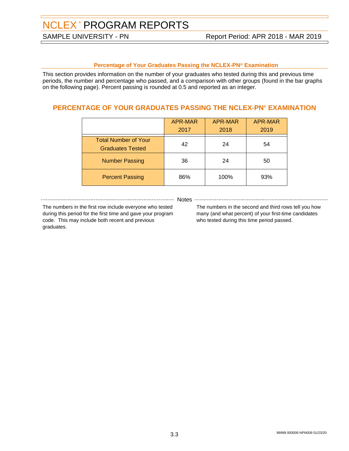#### **Percentage of Your Graduates Passing the NCLEX-PN® Examination**

This section provides information on the number of your graduates who tested during this and previous time periods, the number and percentage who passed, and a comparison with other groups (found in the bar graphs on the following page). Percent passing is rounded at 0.5 and reported as an integer.

## **PERCENTAGE OF YOUR GRADUATES PASSING THE NCLEX-PN® EXAMINATION**

|                                                        | APR-MAR<br>2017 | APR-MAR<br>2018 | APR-MAR<br>2019 |
|--------------------------------------------------------|-----------------|-----------------|-----------------|
| <b>Total Number of Your</b><br><b>Graduates Tested</b> | 42              | 24              | 54              |
| <b>Number Passing</b>                                  | 36              | 24              | 50              |
| <b>Percent Passing</b>                                 | 86%             | 100%            | 93%             |

------------- Notes -

The numbers in the first row include everyone who tested during this period for the first time and gave your program code. This may include both recent and previous graduates.

The numbers in the second and third rows tell you how many (and what percent) of your first-time candidates who tested during this time period passed.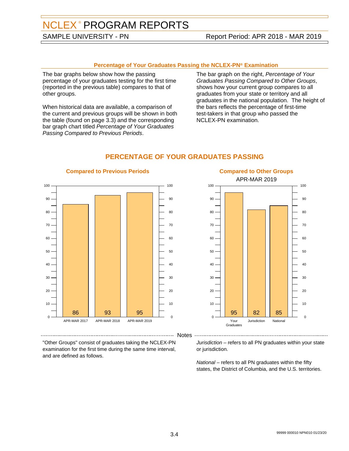## SAMPLE UNIVERSITY - PN Report Period: APR 2018 - MAR 2019

#### **Percentage of Your Graduates Passing the NCLEX-PN® Examination**

The bar graphs below show how the passing percentage of your graduates testing for the first time (reported in the previous table) compares to that of other groups.

When historical data are available, a comparison of the current and previous groups will be shown in both the table (found on page 3.3) and the corresponding bar graph chart titled Percentage of Your Graduates Passing Compared to Previous Periods.

The bar graph on the right, Percentage of Your Graduates Passing Compared to Other Groups, shows how your current group compares to all graduates from your state or territory and all graduates in the national population. The height of the bars reflects the percentage of first-time test-takers in that group who passed the NCLEX-PN examination.



### **PERCENTAGE OF YOUR GRADUATES PASSING**



#### **Compared to Previous Periods**

"Other Groups" consist of graduates taking the NCLEX-PN examination for the first time during the same time interval, and are defined as follows.

#### Jurisdiction – refers to all PN graduates within your state or jurisdiction.

National – refers to all PN graduates within the fifty states, the District of Columbia, and the U.S. territories.

--- Notes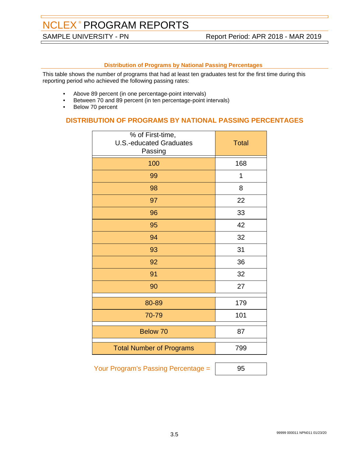#### **Distribution of Programs by National Passing Percentages**

This table shows the number of programs that had at least ten graduates test for the first time during this reporting period who achieved the following passing rates:

- Above 89 percent (in one percentage-point intervals)
- Between 70 and 89 percent (in ten percentage-point intervals)
- Below 70 percent

## **DISTRIBUTION OF PROGRAMS BY NATIONAL PASSING PERCENTAGES**

| % of First-time,<br><b>U.S.-educated Graduates</b><br>Passing | <b>Total</b> |
|---------------------------------------------------------------|--------------|
| 100                                                           | 168          |
| 99                                                            | 1            |
| 98                                                            | 8            |
| 97                                                            | 22           |
| 96                                                            | 33           |
| 95                                                            | 42           |
| 94                                                            | 32           |
| 93                                                            | 31           |
| 92                                                            | 36           |
| 91                                                            | 32           |
| 90                                                            | 27           |
| 80-89                                                         | 179          |
| 70-79                                                         | 101          |
| Below 70                                                      | 87           |
| <b>Total Number of Programs</b>                               | 799          |

Your Program's Passing Percentage = | 95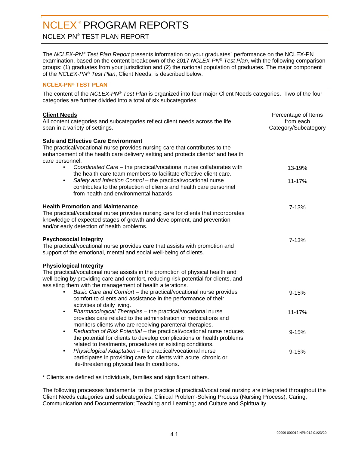<span id="page-11-0"></span>NCLEX-PN® TEST PLAN REPORT

The *NCLEX-PN® Test Plan Report* presents information on your graduates´ performance on the NCLEX-PN examination, based on the content breakdown of the 2017 NCLEX-PN® Test Plan, with the following comparison groups: (1) graduates from your jurisdiction and (2) the national population of graduates. The major component of the NCLEX-PN® Test Plan, Client Needs, is described below.

#### **NCLEX-PN® TEST PLAN**

The content of the NCLEX-PN® Test Plan is organized into four major Client Needs categories. Two of the four categories are further divided into a total of six subcategories:

| <b>Client Needs</b><br>All content categories and subcategories reflect client needs across the life<br>span in a variety of settings.                                                                                                                              | Percentage of Items<br>from each<br>Category/Subcategory |
|---------------------------------------------------------------------------------------------------------------------------------------------------------------------------------------------------------------------------------------------------------------------|----------------------------------------------------------|
| <b>Safe and Effective Care Environment</b><br>The practical/vocational nurse provides nursing care that contributes to the<br>enhancement of the health care delivery setting and protects clients* and health<br>care personnel.                                   |                                                          |
| Coordinated Care - the practical/vocational nurse collaborates with<br>$\bullet$<br>the health care team members to facilitate effective client care.                                                                                                               | 13-19%                                                   |
| Safety and Infection Control - the practical/vocational nurse<br>$\bullet$<br>contributes to the protection of clients and health care personnel<br>from health and environmental hazards.                                                                          | 11-17%                                                   |
| <b>Health Promotion and Maintenance</b><br>The practical/vocational nurse provides nursing care for clients that incorporates<br>knowledge of expected stages of growth and development, and prevention<br>and/or early detection of health problems.               | 7-13%                                                    |
| <b>Psychosocial Integrity</b><br>The practical/vocational nurse provides care that assists with promotion and<br>support of the emotional, mental and social well-being of clients.                                                                                 | 7-13%                                                    |
| <b>Physiological Integrity</b><br>The practical/vocational nurse assists in the promotion of physical health and<br>well-being by providing care and comfort, reducing risk potential for clients, and<br>assisting them with the management of health alterations. |                                                          |
| Basic Care and Comfort - the practical/vocational nurse provides<br>$\bullet$<br>comfort to clients and assistance in the performance of their<br>activities of daily living.                                                                                       | $9 - 15%$                                                |
| Pharmacological Therapies - the practical/vocational nurse<br>$\bullet$<br>provides care related to the administration of medications and<br>monitors clients who are receiving parenteral therapies.                                                               | 11-17%                                                   |
| Reduction of Risk Potential - the practical/vocational nurse reduces<br>$\bullet$<br>the potential for clients to develop complications or health problems<br>related to treatments, procedures or existing conditions.                                             | $9 - 15%$                                                |
| Physiological Adaptation - the practical/vocational nurse<br>$\bullet$<br>participates in providing care for clients with acute, chronic or<br>life-threatening physical health conditions.                                                                         | $9 - 15%$                                                |

\* Clients are defined as individuals, families and significant others.

The following processes fundamental to the practice of practical/vocational nursing are integrated throughout the Client Needs categories and subcategories: Clinical Problem-Solving Process (Nursing Process); Caring; Communication and Documentation; Teaching and Learning; and Culture and Spirituality.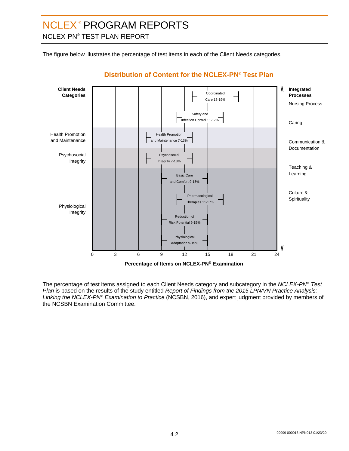## NCLEX-PN® TEST PLAN REPORT

The figure below illustrates the percentage of test items in each of the Client Needs categories.



## **Distribution of Content for the NCLEX-PN® Test Plan**

The percentage of test items assigned to each Client Needs category and subcategory in the *NCLEX-PN® Test* Plan is based on the results of the study entitled Report of Findings from the 2015 LPN/VN Practice Analysis: Linking the NCLEX-PN® Examination to Practice (NCSBN, 2016), and expert judgment provided by members of the NCSBN Examination Committee.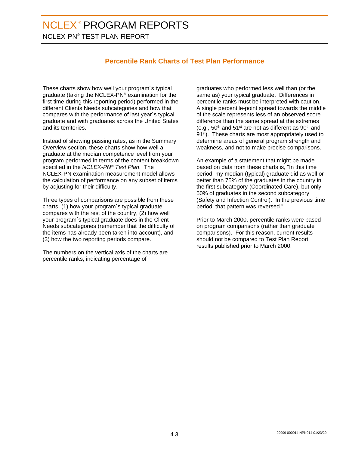NCLEX-PN® TEST PLAN REPORT

## **Percentile Rank Charts of Test Plan Performance**

These charts show how well your program´s typical graduate (taking the NCLEX-PN® examination for the first time during this reporting period) performed in the different Clients Needs subcategories and how that compares with the performance of last year´s typical graduate and with graduates across the United States and its territories.

Instead of showing passing rates, as in the Summary Overview section, these charts show how well a graduate at the median competence level from your program performed in terms of the content breakdown specified in the *NCLEX-PN® Test Plan*. The NCLEX-PN examination measurement model allows the calculation of performance on any subset of items by adjusting for their difficulty.

Three types of comparisons are possible from these charts: (1) how your program´s typical graduate compares with the rest of the country, (2) how well your program´s typical graduate does in the Client Needs subcategories (remember that the difficulty of the items has already been taken into account), and (3) how the two reporting periods compare.

The numbers on the vertical axis of the charts are percentile ranks, indicating percentage of

graduates who performed less well than (or the same as) your typical graduate. Differences in percentile ranks must be interpreted with caution. A single percentile-point spread towards the middle of the scale represents less of an observed score difference than the same spread at the extremes (e.g.,  $50<sup>th</sup>$  and  $51<sup>st</sup>$  are not as different as  $90<sup>th</sup>$  and 91<sup>st</sup>). These charts are most appropriately used to determine areas of general program strength and weakness, and not to make precise comparisons.

An example of a statement that might be made based on data from these charts is, "In this time period, my median (typical) graduate did as well or better than 75% of the graduates in the country in the first subcategory (Coordinated Care), but only 50% of graduates in the second subcategory (Safety and Infection Control). In the previous time period, that pattern was reversed."

Prior to March 2000, percentile ranks were based on program comparisons (rather than graduate comparisons). For this reason, current results should not be compared to Test Plan Report results published prior to March 2000.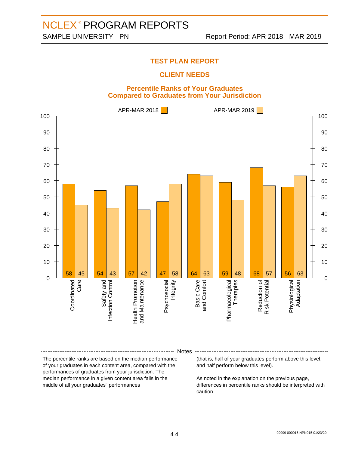## **TEST PLAN REPORT**

## **CLIENT NEEDS**

#### **Percentile Ranks of Your Graduates Compared to Graduates from Your Jurisdiction**



#### Notes

The percentile ranks are based on the median performance of your graduates in each content area, compared with the performances of graduates from your jurisdiction. The median performance in a given content area falls in the middle of all your graduates´ performances

(that is, half of your graduates perform above this level, and half perform below this level).

As noted in the explanation on the previous page, differences in percentile ranks should be interpreted with caution.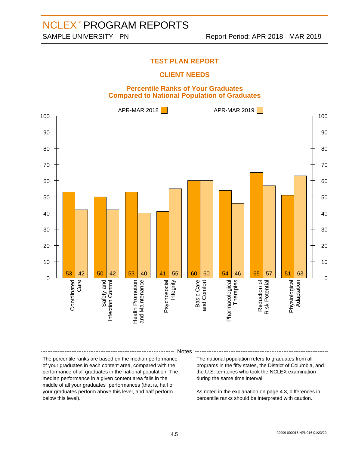## **TEST PLAN REPORT**

## **CLIENT NEEDS**

#### **Percentile Ranks of Your Graduates Compared to National Population of Graduates**



Notes

The percentile ranks are based on the median performance of your graduates in each content area, compared with the performance of all graduates in the national population. The median performance in a given content area falls in the middle of all your graduates´ performances (that is, half of your graduates perform above this level, and half perform below this level).

The national population refers to graduates from all programs in the fifty states, the District of Columbia, and the U.S. territories who took the NCLEX examination during the same time interval.

As noted in the explanation on page 4.3, differences in percentile ranks should be interpreted with caution.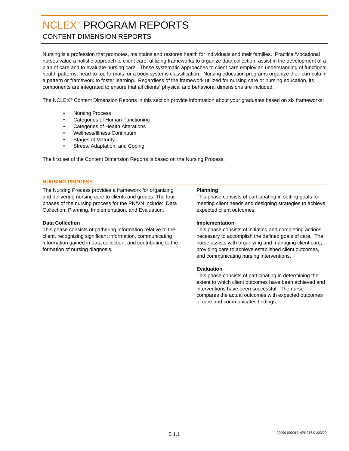## <span id="page-16-0"></span>CONTENT DIMENSION REPORTS

Nursing is a profession that promotes, maintains and restores health for individuals and their families. Practical/Vocational nurses value a holistic approach to client care, utilizing frameworks to organize data collection, assist in the development of a plan of care and to evaluate nursing care. These systematic approaches to client care employ an understanding of functional health patterns, head-to-toe formats, or a body systems classification. Nursing education programs organize their curricula in a pattern or framework to foster learning. Regardless of the framework utilized for nursing care or nursing education, its components are integrated to ensure that all clients´ physical and behavioral dimensions are included.

The NCLEX® Content Dimension Reports in this section provide information about your graduates based on six frameworks:

- Nursing Process
- Categories of Human Functioning
- Categories of Health Alterations
- Wellness/Illness Continuum
- Stages of Maturity
- Stress, Adaptation, and Coping

The first set of the Content Dimension Reports is based on the Nursing Process.

#### **NURSING PROCESS**

The Nursing Process provides a framework for organizing and delivering nursing care to clients and groups. The four phases of the nursing process for the PN/VN include: Data Collection, Planning, Implementation, and Evaluation.

#### **Data Collection**

This phase consists of gathering information relative to the client, recognizing significant information, communicating information gained in data collection, and contributing to the formation of nursing diagnosis.

#### **Planning**

This phase consists of participating in setting goals for meeting client needs and designing strategies to achieve expected client outcomes.

#### **Implementation**

This phase consists of initiating and completing actions necessary to accomplish the defined goals of care. The nurse assists with organizing and managing client care, providing care to achieve established client outcomes, and communicating nursing interventions.

#### **Evaluation**

This phase consists of participating in determining the extent to which client outcomes have been achieved and interventions have been successful. The nurse compares the actual outcomes with expected outcomes of care and communicates findings.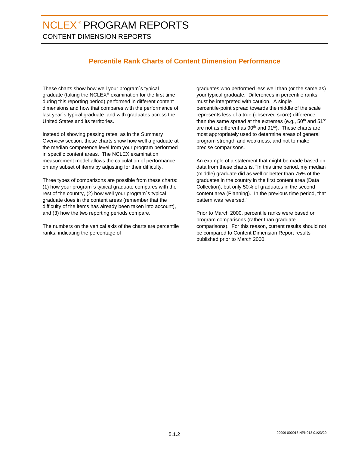CONTENT DIMENSION REPORTS

## **Percentile Rank Charts of Content Dimension Performance**

These charts show how well your program´s typical graduate (taking the NCLEX® examination for the first time during this reporting period) performed in different content dimensions and how that compares with the performance of last year´s typical graduate and with graduates across the United States and its territories.

Instead of showing passing rates, as in the Summary Overview section, these charts show how well a graduate at the median competence level from your program performed in specific content areas. The NCLEX examination measurement model allows the calculation of performance on any subset of items by adjusting for their difficulty.

Three types of comparisons are possible from these charts: (1) how your program´s typical graduate compares with the rest of the country, (2) how well your program´s typical graduate does in the content areas (remember that the difficulty of the items has already been taken into account), and (3) how the two reporting periods compare.

The numbers on the vertical axis of the charts are percentile ranks, indicating the percentage of

graduates who performed less well than (or the same as) your typical graduate. Differences in percentile ranks must be interpreted with caution. A single percentile-point spread towards the middle of the scale represents less of a true (observed score) difference than the same spread at the extremes (e.g.,  $50<sup>th</sup>$  and  $51<sup>st</sup>$ are not as different as  $90<sup>th</sup>$  and  $91<sup>st</sup>$ ). These charts are most appropriately used to determine areas of general program strength and weakness, and not to make precise comparisons.

An example of a statement that might be made based on data from these charts is, "In this time period, my median (middle) graduate did as well or better than 75% of the graduates in the country in the first content area (Data Collection), but only 50% of graduates in the second content area (Planning). In the previous time period, that pattern was reversed."

Prior to March 2000, percentile ranks were based on program comparisons (rather than graduate comparisons). For this reason, current results should not be compared to Content Dimension Report results published prior to March 2000.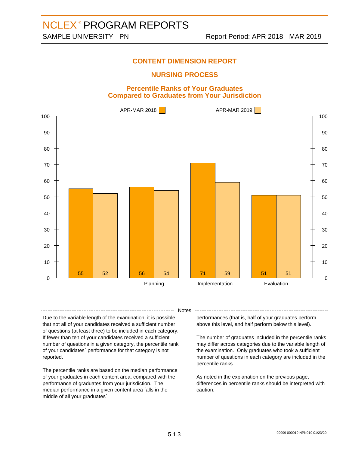### **NURSING PROCESS**

#### **Percentile Ranks of Your Graduates Compared to Graduates from Your Jurisdiction**



**Notes** 

Due to the variable length of the examination, it is possible that not all of your candidates received a sufficient number of questions (at least three) to be included in each category. If fewer than ten of your candidates received a sufficient number of questions in a given category, the percentile rank of your candidates´ performance for that category is not reported.

The percentile ranks are based on the median performance of your graduates in each content area, compared with the performance of graduates from your jurisdiction. The median performance in a given content area falls in the middle of all your graduates´

performances (that is, half of your graduates perform above this level, and half perform below this level).

The number of graduates included in the percentile ranks may differ across categories due to the variable length of the examination. Only graduates who took a sufficient number of questions in each category are included in the percentile ranks.

As noted in the explanation on the previous page, differences in percentile ranks should be interpreted with caution.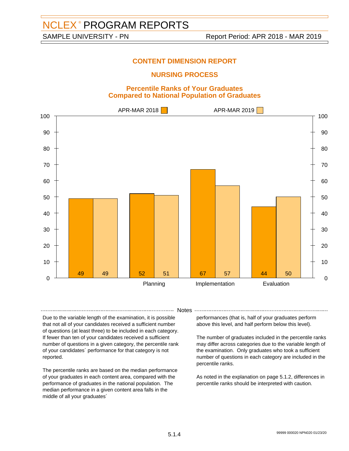### **NURSING PROCESS**

#### **Percentile Ranks of Your Graduates Compared to National Population of Graduates**



- Notes -

Due to the variable length of the examination, it is possible that not all of your candidates received a sufficient number of questions (at least three) to be included in each category. If fewer than ten of your candidates received a sufficient number of questions in a given category, the percentile rank of your candidates´ performance for that category is not reported.

The percentile ranks are based on the median performance of your graduates in each content area, compared with the performance of graduates in the national population. The median performance in a given content area falls in the middle of all your graduates´

performances (that is, half of your graduates perform above this level, and half perform below this level).

The number of graduates included in the percentile ranks may differ across categories due to the variable length of the examination. Only graduates who took a sufficient number of questions in each category are included in the percentile ranks.

As noted in the explanation on page 5.1.2, differences in percentile ranks should be interpreted with caution.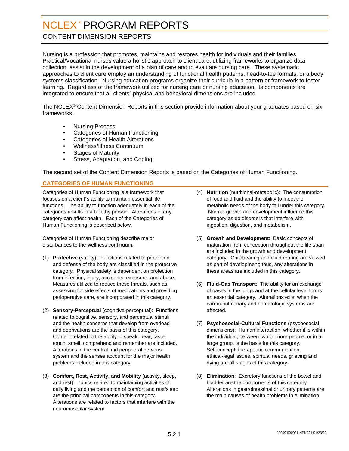## <span id="page-20-0"></span>CONTENT DIMENSION REPORTS

Nursing is a profession that promotes, maintains and restores health for individuals and their families. Practical/Vocational nurses value a holistic approach to client care, utilizing frameworks to organize data collection, assist in the development of a plan of care and to evaluate nursing care. These systematic approaches to client care employ an understanding of functional health patterns, head-to-toe formats, or a body systems classification. Nursing education programs organize their curricula in a pattern or framework to foster learning. Regardless of the framework utilized for nursing care or nursing education, its components are integrated to ensure that all clients´ physical and behavioral dimensions are included.

The NCLEX® Content Dimension Reports in this section provide information about your graduates based on six frameworks:

- Nursing Process
- Categories of Human Functioning
- Categories of Health Alterations
- Wellness/Illness Continuum
- Stages of Maturity
- Stress, Adaptation, and Coping

The second set of the Content Dimension Reports is based on the Categories of Human Functioning.

#### **CATEGORIES OF HUMAN FUNCTIONING**

Categories of Human Functioning is a framework that focuses on a client´s ability to maintain essential life functions. The ability to function adequately in each of the categories results in a healthy person. Alterations in **any** category can affect health. Each of the Categories of Human Functioning is described below.

Categories of Human Functioning describe major disturbances to the wellness continuum.

- (1) **Protective** (safety): Functions related to protection and defense of the body are classified in the protective category. Physical safety is dependent on protection from infection, injury, accidents, exposure, and abuse. Measures utilized to reduce these threats, such as assessing for side effects of medications and providing perioperative care, are incorporated in this category.
- (2) **Sensory-Perceptual** (cognitive-perceptual): Functions related to cognitive, sensory, and perceptual stimuli and the health concerns that develop from overload and deprivations are the basis of this category. Content related to the ability to speak, hear, taste, touch, smell, comprehend and remember are included. Alterations in the central and peripheral nervous system and the senses account for the major health problems included in this category.
- (3) **Comfort, Rest, Activity, and Mobility** (activity, sleep, and rest): Topics related to maintaining activities of daily living and the perception of comfort and rest/sleep are the principal components in this category. Alterations are related to factors that interfere with the neuromuscular system.
- (4) **Nutrition** (nutritional-metabolic): The consumption of food and fluid and the ability to meet the metabolic needs of the body fall under this category. Normal growth and development influence this category as do disorders that interfere with ingestion, digestion, and metabolism.
- (5) **Growth and Development**: Basic concepts of maturation from conception throughout the life span are included in the growth and development category. Childbearing and child rearing are viewed as part of development; thus, any alterations in these areas are included in this category.
- (6) **Fluid-Gas Transport**: The ability for an exchange of gases in the lungs and at the cellular level forms an essential category. Alterations exist when the cardio-pulmonary and hematologic systems are affected.
- (7) **Psychosocial-Cultural Functions** (psychosocial dimensions): Human interaction, whether it is within the individual, between two or more people, or in a large group, is the basis for this category. Self-concept, therapeutic communication, ethical-legal issues, spiritual needs, grieving and dying are all stages of this category.
- (8) **Elimination**: Excretory functions of the bowel and bladder are the components of this category. Alterations in gastrointestinal or urinary patterns are the main causes of health problems in elimination.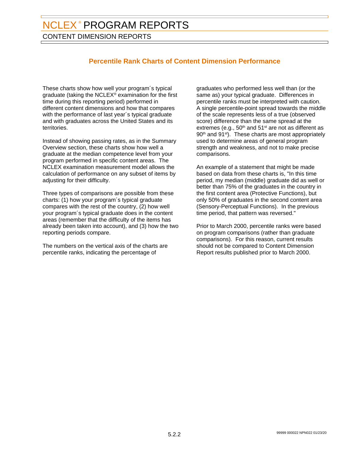CONTENT DIMENSION REPORTS

## **Percentile Rank Charts of Content Dimension Performance**

These charts show how well your program´s typical graduate (taking the NCLEX® examination for the first time during this reporting period) performed in different content dimensions and how that compares with the performance of last year's typical graduate and with graduates across the United States and its territories.

Instead of showing passing rates, as in the Summary Overview section, these charts show how well a graduate at the median competence level from your program performed in specific content areas. The NCLEX examination measurement model allows the calculation of performance on any subset of items by adjusting for their difficulty.

Three types of comparisons are possible from these charts: (1) how your program´s typical graduate compares with the rest of the country, (2) how well your program´s typical graduate does in the content areas (remember that the difficulty of the items has already been taken into account), and (3) how the two reporting periods compare.

The numbers on the vertical axis of the charts are percentile ranks, indicating the percentage of

graduates who performed less well than (or the same as) your typical graduate. Differences in percentile ranks must be interpreted with caution. A single percentile-point spread towards the middle of the scale represents less of a true (observed score) difference than the same spread at the extremes (e.g.,  $50<sup>th</sup>$  and  $51<sup>st</sup>$  are not as different as 90<sup>th</sup> and 91<sup>st</sup>). These charts are most appropriately used to determine areas of general program strength and weakness, and not to make precise comparisons.

An example of a statement that might be made based on data from these charts is, "In this time period, my median (middle) graduate did as well or better than 75% of the graduates in the country in the first content area (Protective Functions), but only 50% of graduates in the second content area (Sensory-Perceptual Functions). In the previous time period, that pattern was reversed."

Prior to March 2000, percentile ranks were based on program comparisons (rather than graduate comparisons). For this reason, current results should not be compared to Content Dimension Report results published prior to March 2000.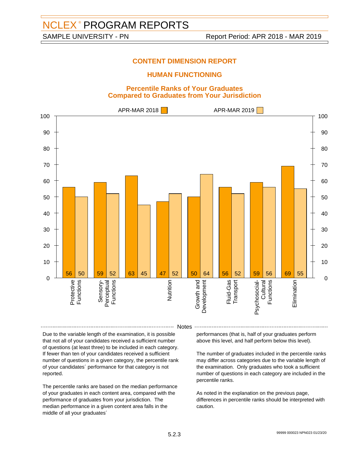### **HUMAN FUNCTIONING**

#### **Percentile Ranks of Your Graduates Compared to Graduates from Your Jurisdiction**



#### Notes

Due to the variable length of the examination, it is possible that not all of your candidates received a sufficient number of questions (at least three) to be included in each category. If fewer than ten of your candidates received a sufficient number of questions in a given category, the percentile rank of your candidates´ performance for that category is not reported.

The percentile ranks are based on the median performance of your graduates in each content area, compared with the performance of graduates from your jurisdiction. The median performance in a given content area falls in the middle of all your graduates´

performances (that is, half of your graduates perform above this level, and half perform below this level).

The number of graduates included in the percentile ranks may differ across categories due to the variable length of the examination. Only graduates who took a sufficient number of questions in each category are included in the percentile ranks.

As noted in the explanation on the previous page, differences in percentile ranks should be interpreted with caution.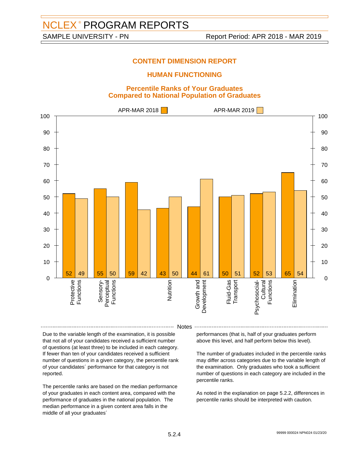### **HUMAN FUNCTIONING**

#### **Percentile Ranks of Your Graduates Compared to National Population of Graduates**



#### Notes

Due to the variable length of the examination, it is possible that not all of your candidates received a sufficient number of questions (at least three) to be included in each category. If fewer than ten of your candidates received a sufficient number of questions in a given category, the percentile rank of your candidates´ performance for that category is not reported.

The percentile ranks are based on the median performance of your graduates in each content area, compared with the performance of graduates in the national population. The median performance in a given content area falls in the middle of all your graduates´

performances (that is, half of your graduates perform above this level, and half perform below this level).

The number of graduates included in the percentile ranks may differ across categories due to the variable length of the examination. Only graduates who took a sufficient number of questions in each category are included in the percentile ranks.

As noted in the explanation on page 5.2.2, differences in percentile ranks should be interpreted with caution.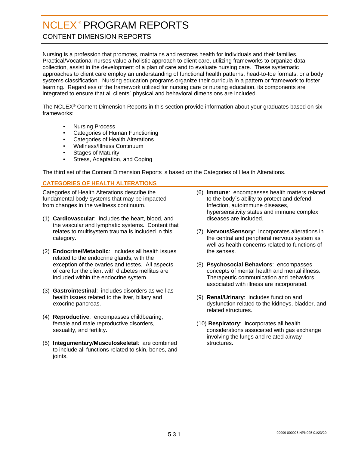## <span id="page-24-0"></span>CONTENT DIMENSION REPORTS

Nursing is a profession that promotes, maintains and restores health for individuals and their families. Practical/Vocational nurses value a holistic approach to client care, utilizing frameworks to organize data collection, assist in the development of a plan of care and to evaluate nursing care. These systematic approaches to client care employ an understanding of functional health patterns, head-to-toe formats, or a body systems classification. Nursing education programs organize their curricula in a pattern or framework to foster learning. Regardless of the framework utilized for nursing care or nursing education, its components are integrated to ensure that all clients´ physical and behavioral dimensions are included.

The NCLEX® Content Dimension Reports in this section provide information about your graduates based on six frameworks:

- Nursing Process
- Categories of Human Functioning
- Categories of Health Alterations
- Wellness/Illness Continuum
- **Stages of Maturity**
- Stress, Adaptation, and Coping

The third set of the Content Dimension Reports is based on the Categories of Health Alterations.

#### **CATEGORIES OF HEALTH ALTERATIONS**

Categories of Health Alterations describe the fundamental body systems that may be impacted from changes in the wellness continuum.

- (1) **Cardiovascular**: includes the heart, blood, and the vascular and lymphatic systems. Content that relates to multisystem trauma is included in this category.
- (2) **Endocrine/Metabolic**: includes all health issues related to the endocrine glands, with the exception of the ovaries and testes. All aspects of care for the client with diabetes mellitus are included within the endocrine system.
- (3) **Gastrointestinal**: includes disorders as well as health issues related to the liver, biliary and exocrine pancreas.
- (4) **Reproductive**: encompasses childbearing, female and male reproductive disorders, sexuality, and fertility.
- (5) **Integumentary/Musculoskeletal**: are combined to include all functions related to skin, bones, and joints.
- (6) **Immune**: encompasses health matters related to the body´s ability to protect and defend. Infection, autoimmune diseases, hypersensitivity states and immune complex diseases are included.
- (7) **Nervous/Sensory**: incorporates alterations in the central and peripheral nervous system as well as health concerns related to functions of the senses.
- (8) **Psychosocial Behaviors**: encompasses concepts of mental health and mental illness. Therapeutic communication and behaviors associated with illness are incorporated.
- (9) **Renal/Urinary**: includes function and dysfunction related to the kidneys, bladder, and related structures.
- (10) **Respiratory**: incorporates all health considerations associated with gas exchange involving the lungs and related airway structures.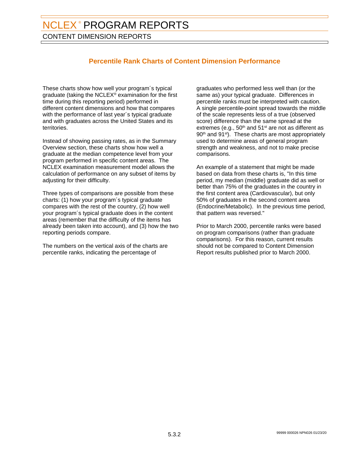CONTENT DIMENSION REPORTS

## **Percentile Rank Charts of Content Dimension Performance**

These charts show how well your program´s typical graduate (taking the NCLEX® examination for the first time during this reporting period) performed in different content dimensions and how that compares with the performance of last year's typical graduate and with graduates across the United States and its territories.

Instead of showing passing rates, as in the Summary Overview section, these charts show how well a graduate at the median competence level from your program performed in specific content areas. The NCLEX examination measurement model allows the calculation of performance on any subset of items by adjusting for their difficulty.

Three types of comparisons are possible from these charts: (1) how your program´s typical graduate compares with the rest of the country, (2) how well your program´s typical graduate does in the content areas (remember that the difficulty of the items has already been taken into account), and (3) how the two reporting periods compare.

The numbers on the vertical axis of the charts are percentile ranks, indicating the percentage of

graduates who performed less well than (or the same as) your typical graduate. Differences in percentile ranks must be interpreted with caution. A single percentile-point spread towards the middle of the scale represents less of a true (observed score) difference than the same spread at the extremes (e.g.,  $50<sup>th</sup>$  and  $51<sup>st</sup>$  are not as different as 90<sup>th</sup> and 91<sup>st</sup>). These charts are most appropriately used to determine areas of general program strength and weakness, and not to make precise comparisons.

An example of a statement that might be made based on data from these charts is, "In this time period, my median (middle) graduate did as well or better than 75% of the graduates in the country in the first content area (Cardiovascular), but only 50% of graduates in the second content area (Endocrine/Metabolic). In the previous time period, that pattern was reversed."

Prior to March 2000, percentile ranks were based on program comparisons (rather than graduate comparisons). For this reason, current results should not be compared to Content Dimension Report results published prior to March 2000.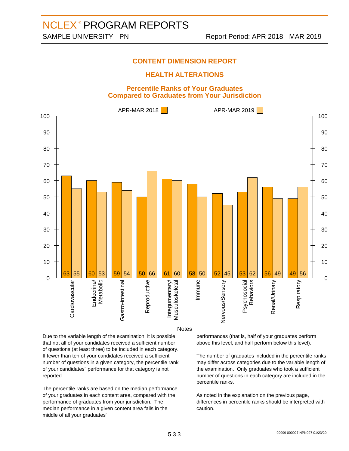### **HEALTH ALTERATIONS**

#### **Percentile Ranks of Your Graduates Compared to Graduates from Your Jurisdiction**



Due to the variable length of the examination, it is possible that not all of your candidates received a sufficient number of questions (at least three) to be included in each category. If fewer than ten of your candidates received a sufficient number of questions in a given category, the percentile rank of your candidates´ performance for that category is not reported.

The percentile ranks are based on the median performance of your graduates in each content area, compared with the performance of graduates from your jurisdiction. The median performance in a given content area falls in the middle of all your graduates´

performances (that is, half of your graduates perform above this level, and half perform below this level).

The number of graduates included in the percentile ranks may differ across categories due to the variable length of the examination. Only graduates who took a sufficient number of questions in each category are included in the percentile ranks.

As noted in the explanation on the previous page, differences in percentile ranks should be interpreted with caution.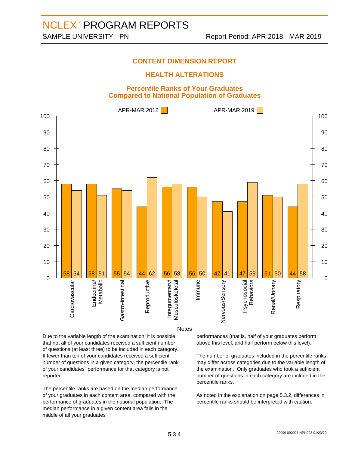### **HEALTH ALTERATIONS**

#### **Percentile Ranks of Your Graduates Compared to National Population of Graduates**



Due to the variable length of the examination, it is possible that not all of your candidates received a sufficient number of questions (at least three) to be included in each category. If fewer than ten of your candidates received a sufficient number of questions in a given category, the percentile rank of your candidates´ performance for that category is not reported.

The percentile ranks are based on the median performance of your graduates in each content area, compared with the performance of graduates in the national population. The median performance in a given content area falls in the middle of all your graduates´

performances (that is, half of your graduates perform above this level, and half perform below this level).

The number of graduates included in the percentile ranks may differ across categories due to the variable length of the examination. Only graduates who took a sufficient number of questions in each category are included in the percentile ranks.

As noted in the explanation on page 5.3.2, differences in percentile ranks should be interpreted with caution.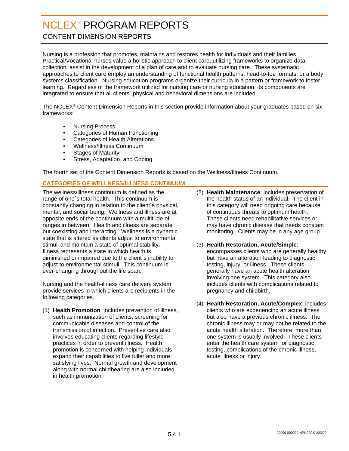## <span id="page-28-0"></span>CONTENT DIMENSION REPORTS

Nursing is a profession that promotes, maintains and restores health for individuals and their families. Practical/Vocational nurses value a holistic approach to client care, utilizing frameworks to organize data collection, assist in the development of a plan of care and to evaluate nursing care. These systematic approaches to client care employ an understanding of functional health patterns, head-to-toe formats, or a body systems classification. Nursing education programs organize their curricula in a pattern or framework to foster learning. Regardless of the framework utilized for nursing care or nursing education, its components are integrated to ensure that all clients´ physical and behavioral dimensions are included.

The NCLEX® Content Dimension Reports in this section provide information about your graduates based on six frameworks:

- Nursing Process
- Categories of Human Functioning
- Categories of Health Alterations
- Wellness/Illness Continuum
- **Stages of Maturity**
- Stress, Adaptation, and Coping

The fourth set of the Content Dimension Reports is based on the Wellness/Illness Continuum.

#### **CATEGORIES OF WELLNESS/ILLNESS CONTINUUM**

The wellness/illness continuum is defined as the range of one´s total health. This continuum is constantly changing in relation to the client´s physical, mental, and social being. Wellness and illness are at opposite ends of the continuum with a multitude of ranges in between. Health and illness are separate but coexisting and interacting. Wellness is a dynamic state that is altered as clients adjust to environmental stimuli and maintain a state of optimal stability. Illness represents a state in which health is diminished or impaired due to the client´s inability to adiust to environmental stimuli. This continuum is ever-changing throughout the life span.

Nursing and the health-illness care delivery system provide services in which clients are recipients in the following categories.

(1) **Health Promotion**: includes prevention of illness, such as immunization of clients, screening for communicable diseases and control of the transmission of infection. Preventive care also involves educating clients regarding lifestyle practices in order to prevent illness. Health promotion is concerned with helping individuals expand their capabilities to live fuller and more satisfying lives. Normal growth and development along with normal childbearing are also included in health promotion.

- (2) **Health Maintenance**: includes preservation of the health status of an individual. The client in this category will need ongoing care because of continuous threats to optimum health. These clients need rehabilitative services or may have chronic disease that needs constant monitoring. Clients may be in any age group.
- (3) **Health Restoration, Acute/Simple**: encompasses clients who are generally healthy but have an alteration leading to diagnostic testing, injury, or illness. These clients generally have an acute health alteration involving one system. This category also includes clients with complications related to pregnancy and childbirth.
- (4) **Health Restoration, Acute/Complex**: includes clients who are experiencing an acute illness but also have a previous chronic illness. The chronic illness may or may not be related to the acute health alteration. Therefore, more than one system is usually involved. These clients enter the health care system for diagnostic testing, complications of the chronic illness, acute illness or injury.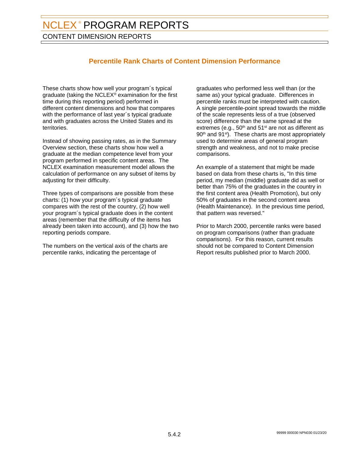CONTENT DIMENSION REPORTS

## **Percentile Rank Charts of Content Dimension Performance**

These charts show how well your program´s typical graduate (taking the NCLEX® examination for the first time during this reporting period) performed in different content dimensions and how that compares with the performance of last year's typical graduate and with graduates across the United States and its territories.

Instead of showing passing rates, as in the Summary Overview section, these charts show how well a graduate at the median competence level from your program performed in specific content areas. The NCLEX examination measurement model allows the calculation of performance on any subset of items by adjusting for their difficulty.

Three types of comparisons are possible from these charts: (1) how your program´s typical graduate compares with the rest of the country, (2) how well your program´s typical graduate does in the content areas (remember that the difficulty of the items has already been taken into account), and (3) how the two reporting periods compare.

The numbers on the vertical axis of the charts are percentile ranks, indicating the percentage of

graduates who performed less well than (or the same as) your typical graduate. Differences in percentile ranks must be interpreted with caution. A single percentile-point spread towards the middle of the scale represents less of a true (observed score) difference than the same spread at the extremes (e.g.,  $50<sup>th</sup>$  and  $51<sup>st</sup>$  are not as different as 90<sup>th</sup> and 91<sup>st</sup>). These charts are most appropriately used to determine areas of general program strength and weakness, and not to make precise comparisons.

An example of a statement that might be made based on data from these charts is, "In this time period, my median (middle) graduate did as well or better than 75% of the graduates in the country in the first content area (Health Promotion), but only 50% of graduates in the second content area (Health Maintenance). In the previous time period, that pattern was reversed."

Prior to March 2000, percentile ranks were based on program comparisons (rather than graduate comparisons). For this reason, current results should not be compared to Content Dimension Report results published prior to March 2000.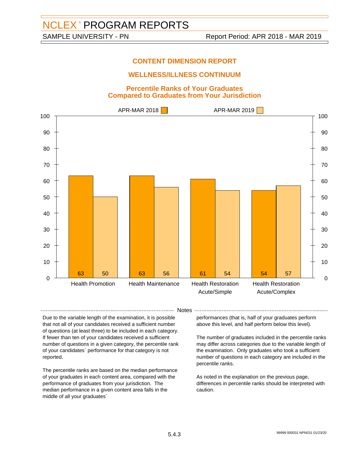## **WELLNESS/ILLNESS CONTINUUM**

#### **Percentile Ranks of Your Graduates Compared to Graduates from Your Jurisdiction**



-- Notes -

Due to the variable length of the examination, it is possible that not all of your candidates received a sufficient number of questions (at least three) to be included in each category. If fewer than ten of your candidates received a sufficient number of questions in a given category, the percentile rank of your candidates´ performance for that category is not reported.

The percentile ranks are based on the median performance of your graduates in each content area, compared with the performance of graduates from your jurisdiction. The median performance in a given content area falls in the middle of all your graduates´

performances (that is, half of your graduates perform above this level, and half perform below this level).

The number of graduates included in the percentile ranks may differ across categories due to the variable length of the examination. Only graduates who took a sufficient number of questions in each category are included in the percentile ranks.

As noted in the explanation on the previous page, differences in percentile ranks should be interpreted with caution.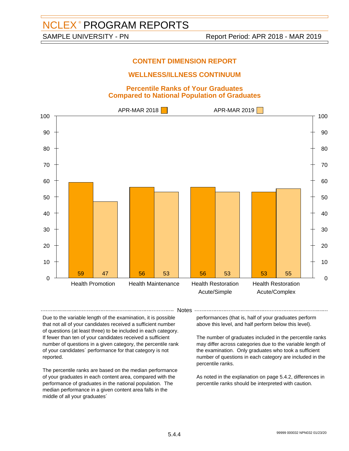## **WELLNESS/ILLNESS CONTINUUM**

#### **Percentile Ranks of Your Graduates Compared to National Population of Graduates**



-- Notes -

Due to the variable length of the examination, it is possible that not all of your candidates received a sufficient number of questions (at least three) to be included in each category. If fewer than ten of your candidates received a sufficient number of questions in a given category, the percentile rank of your candidates´ performance for that category is not reported.

The percentile ranks are based on the median performance of your graduates in each content area, compared with the performance of graduates in the national population. The median performance in a given content area falls in the middle of all your graduates´

performances (that is, half of your graduates perform above this level, and half perform below this level).

The number of graduates included in the percentile ranks may differ across categories due to the variable length of the examination. Only graduates who took a sufficient number of questions in each category are included in the percentile ranks.

As noted in the explanation on page 5.4.2, differences in percentile ranks should be interpreted with caution.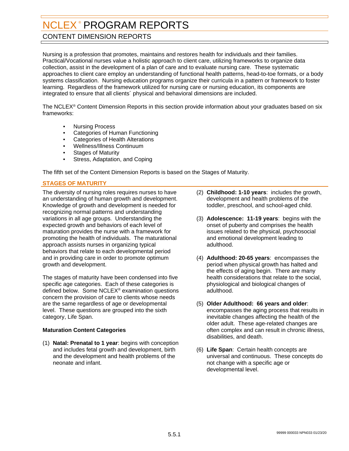## <span id="page-32-0"></span>CONTENT DIMENSION REPORTS

Nursing is a profession that promotes, maintains and restores health for individuals and their families. Practical/Vocational nurses value a holistic approach to client care, utilizing frameworks to organize data collection, assist in the development of a plan of care and to evaluate nursing care. These systematic approaches to client care employ an understanding of functional health patterns, head-to-toe formats, or a body systems classification. Nursing education programs organize their curricula in a pattern or framework to foster learning. Regardless of the framework utilized for nursing care or nursing education, its components are integrated to ensure that all clients´ physical and behavioral dimensions are included.

The NCLEX® Content Dimension Reports in this section provide information about your graduates based on six frameworks:

- Nursing Process
- Categories of Human Functioning
- Categories of Health Alterations
- Wellness/Illness Continuum
- **Stages of Maturity**
- Stress, Adaptation, and Coping

The fifth set of the Content Dimension Reports is based on the Stages of Maturity.

#### **STAGES OF MATURITY**

The diversity of nursing roles requires nurses to have an understanding of human growth and development. Knowledge of growth and development is needed for recognizing normal patterns and understanding variations in all age groups. Understanding the expected growth and behaviors of each level of maturation provides the nurse with a framework for promoting the health of individuals. The maturational approach assists nurses in organizing typical behaviors that relate to each developmental period and in providing care in order to promote optimum growth and development.

The stages of maturity have been condensed into five specific age categories. Each of these categories is defined below. Some NCLEX® examination questions concern the provision of care to clients whose needs are the same regardless of age or developmental level. These questions are grouped into the sixth category, Life Span.

#### **Maturation Content Categories**

(1) **Natal: Prenatal to 1 year**: begins with conception and includes fetal growth and development, birth and the development and health problems of the neonate and infant.

- (2) **Childhood: 1-10 years**: includes the growth, development and health problems of the toddler, preschool, and school-aged child.
- (3) **Adolescence: 11-19 years**: begins with the onset of puberty and comprises the health issues related to the physical, psychosocial and emotional development leading to adulthood.
- (4) **Adulthood: 20-65 years**: encompasses the period when physical growth has halted and the effects of aging begin. There are many health considerations that relate to the social, physiological and biological changes of adulthood.
- (5) **Older Adulthood: 66 years and older**: encompasses the aging process that results in inevitable changes affecting the health of the older adult. These age-related changes are often complex and can result in chronic illness, disabilities, and death.
- (6) **Life Span**: Certain health concepts are universal and continuous. These concepts do not change with a specific age or developmental level.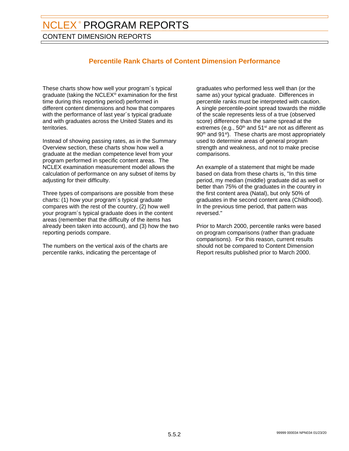CONTENT DIMENSION REPORTS

## **Percentile Rank Charts of Content Dimension Performance**

These charts show how well your program´s typical graduate (taking the NCLEX® examination for the first time during this reporting period) performed in different content dimensions and how that compares with the performance of last year's typical graduate and with graduates across the United States and its territories.

Instead of showing passing rates, as in the Summary Overview section, these charts show how well a graduate at the median competence level from your program performed in specific content areas. The NCLEX examination measurement model allows the calculation of performance on any subset of items by adjusting for their difficulty.

Three types of comparisons are possible from these charts: (1) how your program´s typical graduate compares with the rest of the country, (2) how well your program´s typical graduate does in the content areas (remember that the difficulty of the items has already been taken into account), and (3) how the two reporting periods compare.

The numbers on the vertical axis of the charts are percentile ranks, indicating the percentage of

graduates who performed less well than (or the same as) your typical graduate. Differences in percentile ranks must be interpreted with caution. A single percentile-point spread towards the middle of the scale represents less of a true (observed score) difference than the same spread at the extremes (e.g.,  $50<sup>th</sup>$  and  $51<sup>st</sup>$  are not as different as 90<sup>th</sup> and 91<sup>st</sup>). These charts are most appropriately used to determine areas of general program strength and weakness, and not to make precise comparisons.

An example of a statement that might be made based on data from these charts is, "In this time period, my median (middle) graduate did as well or better than 75% of the graduates in the country in the first content area (Natal), but only 50% of graduates in the second content area (Childhood). In the previous time period, that pattern was reversed."

Prior to March 2000, percentile ranks were based on program comparisons (rather than graduate comparisons). For this reason, current results should not be compared to Content Dimension Report results published prior to March 2000.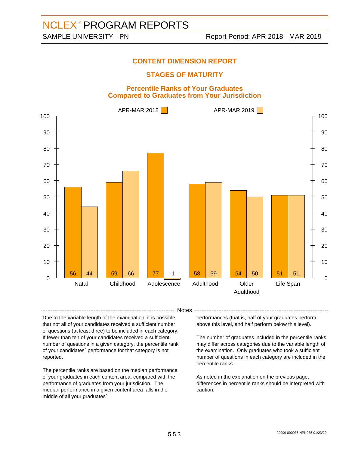## **STAGES OF MATURITY**

#### **Percentile Ranks of Your Graduates Compared to Graduates from Your Jurisdiction**



-- Notes --

Due to the variable length of the examination, it is possible that not all of your candidates received a sufficient number of questions (at least three) to be included in each category. If fewer than ten of your candidates received a sufficient number of questions in a given category, the percentile rank of your candidates´ performance for that category is not reported.

The percentile ranks are based on the median performance of your graduates in each content area, compared with the performance of graduates from your jurisdiction. The median performance in a given content area falls in the middle of all your graduates´

performances (that is, half of your graduates perform above this level, and half perform below this level).

The number of graduates included in the percentile ranks may differ across categories due to the variable length of the examination. Only graduates who took a sufficient number of questions in each category are included in the percentile ranks.

As noted in the explanation on the previous page, differences in percentile ranks should be interpreted with caution.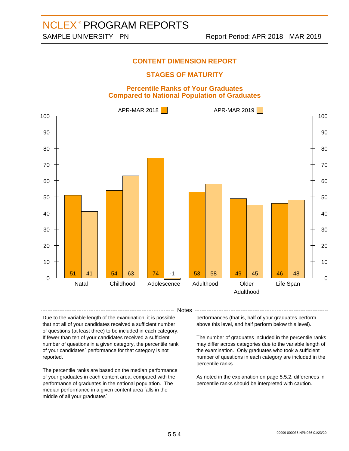## **STAGES OF MATURITY**

#### **Percentile Ranks of Your Graduates Compared to National Population of Graduates**



-- Notes --

Due to the variable length of the examination, it is possible that not all of your candidates received a sufficient number of questions (at least three) to be included in each category. If fewer than ten of your candidates received a sufficient number of questions in a given category, the percentile rank of your candidates´ performance for that category is not reported.

The percentile ranks are based on the median performance of your graduates in each content area, compared with the performance of graduates in the national population. The median performance in a given content area falls in the middle of all your graduates´

performances (that is, half of your graduates perform above this level, and half perform below this level).

The number of graduates included in the percentile ranks may differ across categories due to the variable length of the examination. Only graduates who took a sufficient number of questions in each category are included in the percentile ranks.

As noted in the explanation on page 5.5.2, differences in percentile ranks should be interpreted with caution.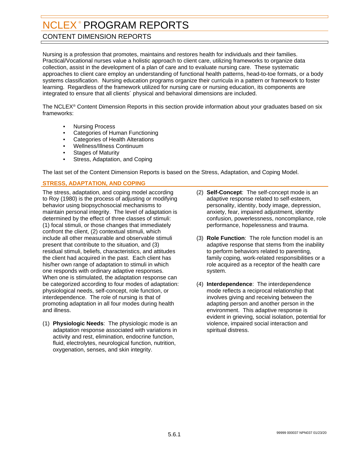## <span id="page-36-0"></span>CONTENT DIMENSION REPORTS

Nursing is a profession that promotes, maintains and restores health for individuals and their families. Practical/Vocational nurses value a holistic approach to client care, utilizing frameworks to organize data collection, assist in the development of a plan of care and to evaluate nursing care. These systematic approaches to client care employ an understanding of functional health patterns, head-to-toe formats, or a body systems classification. Nursing education programs organize their curricula in a pattern or framework to foster learning. Regardless of the framework utilized for nursing care or nursing education, its components are integrated to ensure that all clients´ physical and behavioral dimensions are included.

The NCLEX® Content Dimension Reports in this section provide information about your graduates based on six frameworks:

- Nursing Process
- Categories of Human Functioning
- Categories of Health Alterations
- Wellness/Illness Continuum
- **Stages of Maturity**
- Stress, Adaptation, and Coping

The last set of the Content Dimension Reports is based on the Stress, Adaptation, and Coping Model.

#### **STRESS, ADAPTATION, AND COPING**

The stress, adaptation, and coping model according to Roy (1980) is the process of adjusting or modifying behavior using biopsychosocial mechanisms to maintain personal integrity. The level of adaptation is determined by the effect of three classes of stimuli: (1) focal stimuli, or those changes that immediately confront the client, (2) contextual stimuli, which include all other measurable and observable stimuli present that contribute to the situation, and (3) residual stimuli, beliefs, characteristics, and attitudes the client had acquired in the past. Each client has his/her own range of adaptation to stimuli in which one responds with ordinary adaptive responses. When one is stimulated, the adaptation response can be categorized according to four modes of adaptation: physiological needs, self-concept, role function, or interdependence. The role of nursing is that of promoting adaptation in all four modes during health and illness.

(1) **Physiologic Needs**: The physiologic mode is an adaptation response associated with variations in activity and rest, elimination, endocrine function, fluid, electrolytes, neurological function, nutrition, oxygenation, senses, and skin integrity.

- (2) **Self-Concept**: The self-concept mode is an adaptive response related to self-esteem, personality, identity, body image, depression, anxiety, fear, impaired adjustment, identity confusion, powerlessness, noncompliance, role performance, hopelessness and trauma.
- (3) **Role Function**: The role function model is an adaptive response that stems from the inability to perform behaviors related to parenting, family coping, work-related responsibilities or a role acquired as a receptor of the health care system.
- (4) **Interdependence**: The interdependence mode reflects a reciprocal relationship that involves giving and receiving between the adapting person and another person in the environment. This adaptive response is evident in grieving, social isolation, potential for violence, impaired social interaction and spiritual distress.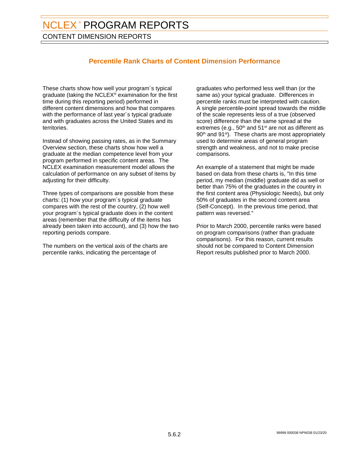CONTENT DIMENSION REPORTS

## **Percentile Rank Charts of Content Dimension Performance**

These charts show how well your program´s typical graduate (taking the NCLEX® examination for the first time during this reporting period) performed in different content dimensions and how that compares with the performance of last year's typical graduate and with graduates across the United States and its territories.

Instead of showing passing rates, as in the Summary Overview section, these charts show how well a graduate at the median competence level from your program performed in specific content areas. The NCLEX examination measurement model allows the calculation of performance on any subset of items by adjusting for their difficulty.

Three types of comparisons are possible from these charts: (1) how your program´s typical graduate compares with the rest of the country, (2) how well your program´s typical graduate does in the content areas (remember that the difficulty of the items has already been taken into account), and (3) how the two reporting periods compare.

The numbers on the vertical axis of the charts are percentile ranks, indicating the percentage of

graduates who performed less well than (or the same as) your typical graduate. Differences in percentile ranks must be interpreted with caution. A single percentile-point spread towards the middle of the scale represents less of a true (observed score) difference than the same spread at the extremes (e.g.,  $50<sup>th</sup>$  and  $51<sup>st</sup>$  are not as different as 90<sup>th</sup> and 91<sup>st</sup>). These charts are most appropriately used to determine areas of general program strength and weakness, and not to make precise comparisons.

An example of a statement that might be made based on data from these charts is, "In this time period, my median (middle) graduate did as well or better than 75% of the graduates in the country in the first content area (Physiologic Needs), but only 50% of graduates in the second content area (Self-Concept). In the previous time period, that pattern was reversed."

Prior to March 2000, percentile ranks were based on program comparisons (rather than graduate comparisons). For this reason, current results should not be compared to Content Dimension Report results published prior to March 2000.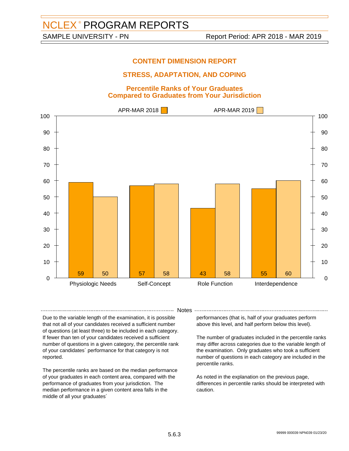## **STRESS, ADAPTATION, AND COPING**

#### **Percentile Ranks of Your Graduates Compared to Graduates from Your Jurisdiction**



- Notes -

Due to the variable length of the examination, it is possible that not all of your candidates received a sufficient number of questions (at least three) to be included in each category. If fewer than ten of your candidates received a sufficient number of questions in a given category, the percentile rank of your candidates´ performance for that category is not reported.

The percentile ranks are based on the median performance of your graduates in each content area, compared with the performance of graduates from your jurisdiction. The median performance in a given content area falls in the middle of all your graduates´

performances (that is, half of your graduates perform above this level, and half perform below this level).

The number of graduates included in the percentile ranks may differ across categories due to the variable length of the examination. Only graduates who took a sufficient number of questions in each category are included in the percentile ranks.

As noted in the explanation on the previous page, differences in percentile ranks should be interpreted with caution.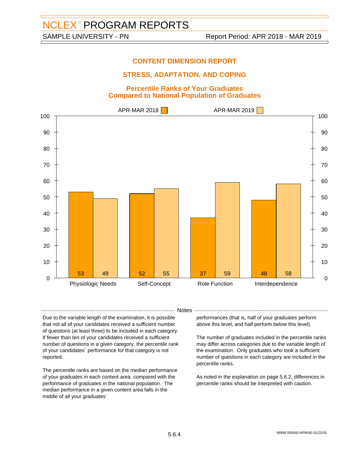## **STRESS, ADAPTATION, AND COPING**

#### **Percentile Ranks of Your Graduates Compared to National Population of Graduates**



- Notes -

Due to the variable length of the examination, it is possible that not all of your candidates received a sufficient number of questions (at least three) to be included in each category. If fewer than ten of your candidates received a sufficient number of questions in a given category, the percentile rank of your candidates´ performance for that category is not reported.

The percentile ranks are based on the median performance of your graduates in each content area, compared with the performance of graduates in the national population. The median performance in a given content area falls in the middle of all your graduates´

performances (that is, half of your graduates perform above this level, and half perform below this level).

The number of graduates included in the percentile ranks may differ across categories due to the variable length of the examination. Only graduates who took a sufficient number of questions in each category are included in the percentile ranks.

As noted in the explanation on page 5.6.2, differences in percentile ranks should be interpreted with caution.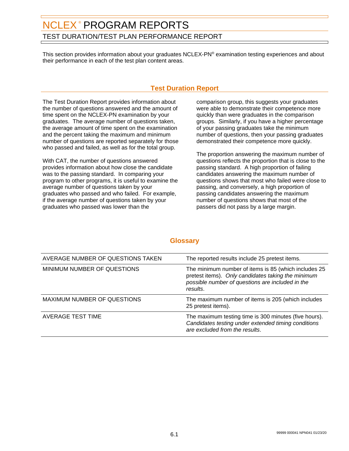## <span id="page-40-0"></span>NCLEX® PROGRAM REPORTS TEST DURATION/TEST PLAN PERFORMANCE REPORT

This section provides information about your graduates NCLEX-PN® examination testing experiences and about their performance in each of the test plan content areas.

## **Test Duration Report**

The Test Duration Report provides information about the number of questions answered and the amount of time spent on the NCLEX-PN examination by your graduates. The average number of questions taken, the average amount of time spent on the examination and the percent taking the maximum and minimum number of questions are reported separately for those who passed and failed, as well as for the total group.

With CAT, the number of questions answered provides information about how close the candidate was to the passing standard. In comparing your program to other programs, it is useful to examine the average number of questions taken by your graduates who passed and who failed. For example, if the average number of questions taken by your graduates who passed was lower than the

comparison group, this suggests your graduates were able to demonstrate their competence more quickly than were graduates in the comparison groups. Similarly, if you have a higher percentage of your passing graduates take the minimum number of questions, then your passing graduates demonstrated their competence more quickly.

The proportion answering the maximum number of questions reflects the proportion that is close to the passing standard. A high proportion of failing candidates answering the maximum number of questions shows that most who failed were close to passing, and conversely, a high proportion of passing candidates answering the maximum number of questions shows that most of the passers did not pass by a large margin.

| AVERAGE NUMBER OF QUESTIONS TAKEN | The reported results include 25 pretest items.                                                                                                                             |
|-----------------------------------|----------------------------------------------------------------------------------------------------------------------------------------------------------------------------|
| MINIMUM NUMBER OF QUESTIONS       | The minimum number of items is 85 (which includes 25<br>pretest items). Only candidates taking the minimum<br>possible number of questions are included in the<br>results. |
| MAXIMUM NUMBER OF QUESTIONS       | The maximum number of items is 205 (which includes<br>25 pretest items).                                                                                                   |
| AVERAGE TEST TIME                 | The maximum testing time is 300 minutes (five hours).<br>Candidates testing under extended timing conditions<br>are excluded from the results.                             |

## **Glossary**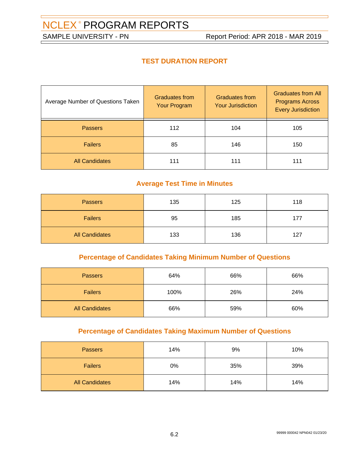## **TEST DURATION REPORT**

| Average Number of Questions Taken | <b>Graduates from</b><br>Your Program | <b>Graduates from</b><br><b>Your Jurisdiction</b> | <b>Graduates from All</b><br><b>Programs Across</b><br><b>Every Jurisdiction</b> |
|-----------------------------------|---------------------------------------|---------------------------------------------------|----------------------------------------------------------------------------------|
| <b>Passers</b>                    | 112                                   | 104                                               | 105                                                                              |
| <b>Failers</b>                    | 85                                    | 146                                               | 150                                                                              |
| <b>All Candidates</b>             | 111                                   | 111                                               | 111                                                                              |

## **Average Test Time in Minutes**

| <b>Passers</b>        | 135 | 125 | 118 |
|-----------------------|-----|-----|-----|
| <b>Failers</b>        | 95  | 185 | 177 |
| <b>All Candidates</b> | 133 | 136 | 127 |

## **Percentage of Candidates Taking Minimum Number of Questions**

| <b>Passers</b>        | 64%  | 66% | 66% |
|-----------------------|------|-----|-----|
| <b>Failers</b>        | 100% | 26% | 24% |
| <b>All Candidates</b> | 66%  | 59% | 60% |

## **Percentage of Candidates Taking Maximum Number of Questions**

| <b>Passers</b>        | 14% | 9%  | 10% |
|-----------------------|-----|-----|-----|
| <b>Failers</b>        | 0%  | 35% | 39% |
| <b>All Candidates</b> | 14% | 14% | 14% |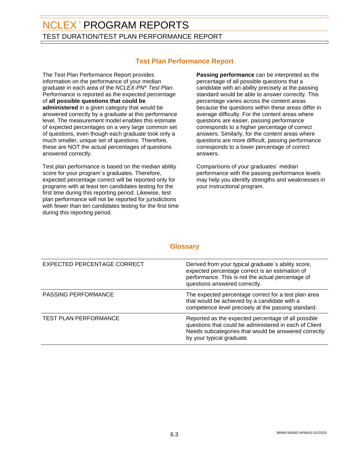## NCLEX® PROGRAM REPORTS TEST DURATION/TEST PLAN PERFORMANCE REPORT

## **Test Plan Performance Report**

The Test Plan Performance Report provides information on the performance of your median graduate in each area of the NCLEX-PN® Test Plan. Performance is reported as the expected percentage of **all possible questions that could be administered** in a given category that would be answered correctly by a graduate at this performance level. The measurement model enables this estimate of expected percentages on a very large common set of questions, even though each graduate took only a much smaller, unique set of questions. Therefore, these are NOT the actual percentages of questions answered correctly.

Test plan performance is based on the median ability score for your program´s graduates. Therefore, expected percentage correct will be reported only for programs with at least ten candidates testing for the first time during this reporting period. Likewise, test plan performance will not be reported for jurisdictions with fewer than ten candidates testing for the first time during this reporting period.

**Passing performance** can be interpreted as the percentage of all possible questions that a candidate with an ability precisely at the passing standard would be able to answer correctly. This percentage varies across the content areas because the questions within these areas differ in average difficulty. For the content areas where questions are easier, passing performance corresponds to a higher percentage of correct answers. Similarly, for the content areas where questions are more difficult, passing performance corresponds to a lower percentage of correct answers.

Comparisons of your graduates´ median performance with the passing performance levels may help you identify strengths and weaknesses in your instructional program.

## **Glossary**

| EXPECTED PERCENTAGE CORRECT  | Derived from your typical graduate's ability score,<br>expected percentage correct is an estimation of<br>performance. This is not the actual percentage of<br>questions answered correctly.       |
|------------------------------|----------------------------------------------------------------------------------------------------------------------------------------------------------------------------------------------------|
| <b>PASSING PERFORMANCE</b>   | The expected percentage correct for a test plan area<br>that would be achieved by a candidate with a<br>competence level precisely at the passing standard.                                        |
| <b>TEST PLAN PERFORMANCE</b> | Reported as the expected percentage of all possible<br>questions that could be administered in each of Client<br>Needs subcategories that would be answered correctly<br>by your typical graduate. |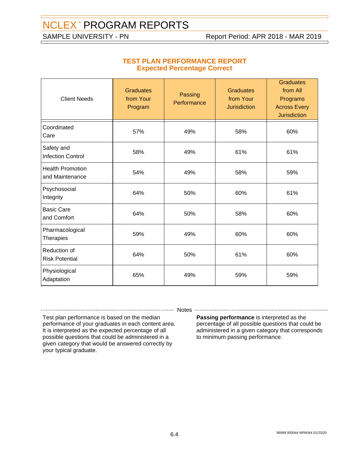### **TEST PLAN PERFORMANCE REPORT Expected Percentage Correct**

| <b>Client Needs</b>                        | <b>Graduates</b><br>from Your<br>Program | Passing<br>Performance | <b>Graduates</b><br>from Your<br><b>Jurisdiction</b> | <b>Graduates</b><br>from All<br>Programs<br><b>Across Every</b><br><b>Jurisdiction</b> |
|--------------------------------------------|------------------------------------------|------------------------|------------------------------------------------------|----------------------------------------------------------------------------------------|
| Coordinated<br>Care                        | 57%                                      | 49%                    | 58%                                                  | 60%                                                                                    |
| Safety and<br><b>Infection Control</b>     | 58%                                      | 49%                    | 61%                                                  | 61%                                                                                    |
| <b>Health Promotion</b><br>and Maintenance | 54%                                      | 49%                    | 58%                                                  | 59%                                                                                    |
| Psychosocial<br>Integrity                  | 64%                                      | 50%                    | 60%                                                  | 61%                                                                                    |
| <b>Basic Care</b><br>and Comfort           | 64%                                      | 50%                    | 58%                                                  | 60%                                                                                    |
| Pharmacological<br>Therapies               | 59%                                      | 49%                    | 60%                                                  | 60%                                                                                    |
| Reduction of<br><b>Risk Potential</b>      | 64%                                      | 50%                    | 61%                                                  | 60%                                                                                    |
| Physiological<br>Adaptation                | 65%                                      | 49%                    | 59%                                                  | 59%                                                                                    |

-------- Notes --

Test plan performance is based on the median performance of your graduates in each content area. It is interpreted as the expected percentage of all possible questions that could be administered in a given category that would be answered correctly by your typical graduate.

**Passing performance** is interpreted as the percentage of all possible questions that could be administered in a given category that corresponds to minimum passing performance.